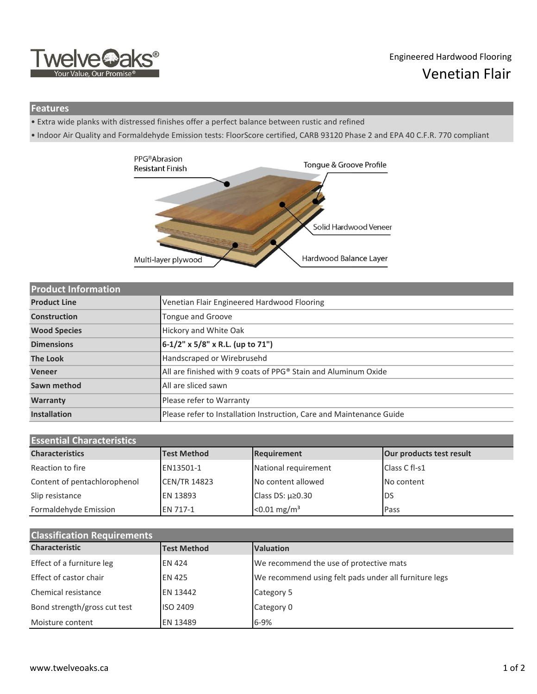

## Engineered Hardwood Flooring Venetian Flair

## **Features**

- Extra wide planks with distressed finishes offer a perfect balance between rustic and refined
- Indoor Air Quality and Formaldehyde Emission tests: FloorScore certified, CARB 93120 Phase 2 and EPA 40 C.F.R. 770 compliant



| <b>Product Information</b> |                                                                      |
|----------------------------|----------------------------------------------------------------------|
| <b>Product Line</b>        | Venetian Flair Engineered Hardwood Flooring                          |
| Construction               | Tongue and Groove                                                    |
| <b>Wood Species</b>        | Hickory and White Oak                                                |
| <b>Dimensions</b>          | 6-1/2" x 5/8" x R.L. (up to 71")                                     |
| <b>The Look</b>            | Handscraped or Wirebrusehd                                           |
| <b>Veneer</b>              | All are finished with 9 coats of PPG® Stain and Aluminum Oxide       |
| Sawn method                | All are sliced sawn                                                  |
| Warranty                   | Please refer to Warranty                                             |
| <b>Installation</b>        | Please refer to Installation Instruction, Care and Maintenance Guide |

| <b>Essential Characteristics</b> |                     |                            |                          |  |  |
|----------------------------------|---------------------|----------------------------|--------------------------|--|--|
| <b>Characteristics</b>           | <b>Test Method</b>  | Requirement                | Our products test result |  |  |
| Reaction to fire                 | EN13501-1           | National requirement       | Class C fl-s1            |  |  |
| Content of pentachlorophenol     | <b>CEN/TR 14823</b> | No content allowed         | No content               |  |  |
| Slip resistance                  | EN 13893            | Class DS: $\mu \ge 0.30$   | DS                       |  |  |
| Formaldehyde Emission            | <b>EN 717-1</b>     | $< 0.01$ mg/m <sup>3</sup> | Pass                     |  |  |

| <b>Classification Requirements</b> |                    |                                                       |  |  |  |
|------------------------------------|--------------------|-------------------------------------------------------|--|--|--|
| <b>Characteristic</b>              | <b>Test Method</b> | <b>Valuation</b>                                      |  |  |  |
| Effect of a furniture leg          | <b>EN 424</b>      | We recommend the use of protective mats               |  |  |  |
| Effect of castor chair             | <b>EN 425</b>      | We recommend using felt pads under all furniture legs |  |  |  |
| Chemical resistance                | <b>EN 13442</b>    | Category 5                                            |  |  |  |
| Bond strength/gross cut test       | ISO 2409           | Category 0                                            |  |  |  |
| Moisture content                   | EN 13489           | 6-9%                                                  |  |  |  |